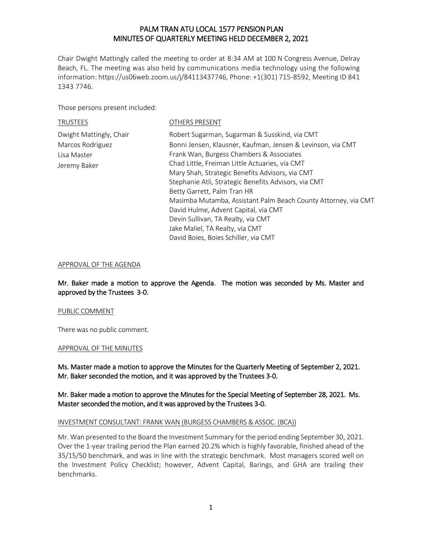Chair Dwight Mattingly called the meeting to order at 8:34 AM at 100 N Congress Avenue, Delray Beach, FL. The meeting was also held by communications media technology using the following information: https://us06web.zoom.us/j/84113437746, Phone: +1(301) 715-8592, Meeting ID 841 1343 7746.

Those persons present included:

TRUSTEES OTHERS PRESENT

| Dwight Mattingly, Chair | Robert Sugarman, Sugarman & Susskind, via CMT                  |
|-------------------------|----------------------------------------------------------------|
| Marcos Rodriguez        | Bonni Jensen, Klausner, Kaufman, Jensen & Levinson, via CMT    |
| Lisa Master             | Frank Wan, Burgess Chambers & Associates                       |
| Jeremy Baker            | Chad Little, Freiman Little Actuaries, via CMT                 |
|                         | Mary Shah, Strategic Benefits Advisors, via CMT                |
|                         | Stephanie Atli, Strategic Benefits Advisors, via CMT           |
|                         | Betty Garrett, Palm Tran HR                                    |
|                         | Masimba Mutamba, Assistant Palm Beach County Attorney, via CMT |
|                         | David Hulme, Advent Capital, via CMT                           |
|                         | Devin Sullivan, TA Realty, via CMT                             |
|                         | Jake Maliel, TA Realty, via CMT                                |
|                         | David Boies, Boies Schiller, via CMT                           |

#### APPROVAL OF THE AGENDA

Mr. Baker made a motion to approve the Agenda. The motion was seconded by Ms. Master and approved by the Trustees 3-0.

#### PUBLIC COMMENT

There was no public comment.

#### APPROVAL OF THE MINUTES

Ms. Master made a motion to approve the Minutes for the Quarterly Meeting of September 2, 2021. Mr. Baker seconded the motion, and it was approved by the Trustees 3-0.

## Mr. Baker made a motion to approve the Minutes for the Special Meeting of September 28, 2021. Ms. Master seconded the motion, and it was approved by the Trustees 3-0.

#### INVESTMENT CONSULTANT: FRANK WAN (BURGESS CHAMBERS & ASSOC. (BCA))

Mr. Wan presented to the Board the Investment Summary for the period ending September 30, 2021. Over the 1-year trailing period the Plan earned 20.2% which is highly favorable, finished ahead of the 35/15/50 benchmark, and was in line with the strategic benchmark. Most managers scored well on the Investment Policy Checklist; however, Advent Capital, Barings, and GHA are trailing their benchmarks.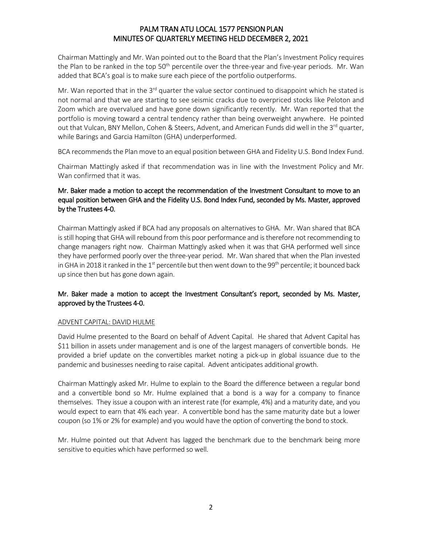Chairman Mattingly and Mr. Wan pointed out to the Board that the Plan's Investment Policy requires the Plan to be ranked in the top 50<sup>th</sup> percentile over the three-year and five-year periods. Mr. Wan added that BCA's goal is to make sure each piece of the portfolio outperforms.

Mr. Wan reported that in the  $3<sup>rd</sup>$  quarter the value sector continued to disappoint which he stated is not normal and that we are starting to see seismic cracks due to overpriced stocks like Peloton and Zoom which are overvalued and have gone down significantly recently. Mr. Wan reported that the portfolio is moving toward a central tendency rather than being overweight anywhere. He pointed out that Vulcan, BNY Mellon, Cohen & Steers, Advent, and American Funds did well in the  $3^{rd}$  quarter, while Barings and Garcia Hamilton (GHA) underperformed.

BCA recommends the Plan move to an equal position between GHA and Fidelity U.S. Bond Index Fund.

Chairman Mattingly asked if that recommendation was in line with the Investment Policy and Mr. Wan confirmed that it was.

# Mr. Baker made a motion to accept the recommendation of the Investment Consultant to move to an equal position between GHA and the Fidelity U.S. Bond Index Fund, seconded by Ms. Master, approved by the Trustees 4-0.

Chairman Mattingly asked if BCA had any proposals on alternatives to GHA. Mr. Wan shared that BCA is still hoping that GHA will rebound from this poor performance and is therefore not recommending to change managers right now. Chairman Mattingly asked when it was that GHA performed well since they have performed poorly over the three-year period. Mr. Wan shared that when the Plan invested in GHA in 2018 it ranked in the 1<sup>st</sup> percentile but then went down to the 99<sup>th</sup> percentile; it bounced back up since then but has gone down again.

# Mr. Baker made a motion to accept the Investment Consultant's report, seconded by Ms. Master, approved by the Trustees 4-0.

# ADVENT CAPITAL: DAVID HULME

David Hulme presented to the Board on behalf of Advent Capital. He shared that Advent Capital has \$11 billion in assets under management and is one of the largest managers of convertible bonds. He provided a brief update on the convertibles market noting a pick-up in global issuance due to the pandemic and businesses needing to raise capital. Advent anticipates additional growth.

Chairman Mattingly asked Mr. Hulme to explain to the Board the difference between a regular bond and a convertible bond so Mr. Hulme explained that a bond is a way for a company to finance themselves. They issue a coupon with an interest rate (for example, 4%) and a maturity date, and you would expect to earn that 4% each year. A convertible bond has the same maturity date but a lower coupon (so 1% or 2% for example) and you would have the option of converting the bond to stock.

Mr. Hulme pointed out that Advent has lagged the benchmark due to the benchmark being more sensitive to equities which have performed so well.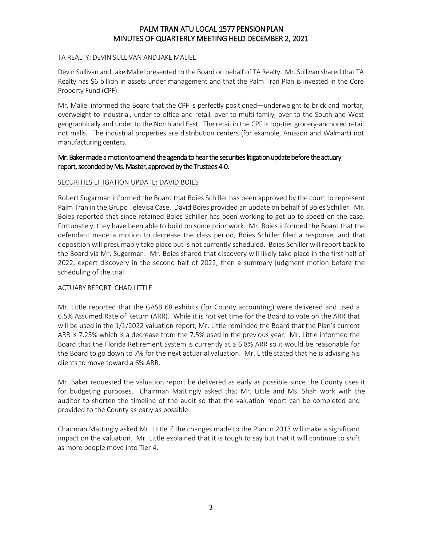#### TA REALTY: DEVIN SULLIVAN AND JAKE MALIEL

Devin Sullivan and Jake Maliel presented to the Board on behalf of TA Realty. Mr. Sullivan shared that TA Realty has \$6 billion in assets under management and that the Palm Tran Plan is invested in the Core Property Fund (CPF).

Mr. Maliel informed the Board that the CPF is perfectly positioned—underweight to brick and mortar, overweight to industrial, under to office and retail, over to multi-family, over to the South and West geographically and under to the North and East. The retail in the CPF is top-tier grocery-anchored retail not malls. The industrial properties are distribution centers (for example, Amazon and Walmart) not manufacturing centers.

## Mr. Baker made a motion to amend the agenda to hear the securities litigation update before the actuary report, seconded by Ms. Master, approved by the Trustees 4-0.

## SECURITIES LITIGATION UPDATE: DAVID BOIES

Robert Sugarman informed the Board that Boies Schiller has been approved by the court to represent Palm Tran in the Grupo Televisa Case. David Boies provided an update on behalf of Boies Schiller. Mr. Boies reported that since retained Boies Schiller has been working to get up to speed on the case. Fortunately, they have been able to build on some prior work. Mr. Boies informed the Board that the defendant made a motion to decrease the class period, Boies Schiller filed a response, and that deposition will presumably take place but is not currently scheduled. Boies Schiller will report back to the Board via Mr. Sugarman. Mr. Boies shared that discovery will likely take place in the first half of 2022, expert discovery in the second half of 2022, then a summary judgment motion before the scheduling of the trial.

## ACTUARY REPORT: CHAD LITTLE

Mr. Little reported that the GASB 68 exhibits (for County accounting) were delivered and used a 6.5% Assumed Rate of Return (ARR). While it is not yet time for the Board to vote on the ARR that will be used in the 1/1/2022 valuation report, Mr. Little reminded the Board that the Plan's current ARR is 7.25% which is a decrease from the 7.5% used in the previous year. Mr. Little informed the Board that the Florida Retirement System is currently at a 6.8% ARR so it would be reasonable for the Board to go down to 7% for the next actuarial valuation. Mr. Little stated that he is advising his clients to move toward a 6% ARR.

Mr. Baker requested the valuation report be delivered as early as possible since the County uses it for budgeting purposes. Chairman Mattingly asked that Mr. Little and Ms. Shah work with the auditor to shorten the timeline of the audit so that the valuation report can be completed and provided to the County as early as possible.

Chairman Mattingly asked Mr. Little if the changes made to the Plan in 2013 will make a significant impact on the valuation. Mr. Little explained that it is tough to say but that it will continue to shift as more people move into Tier 4.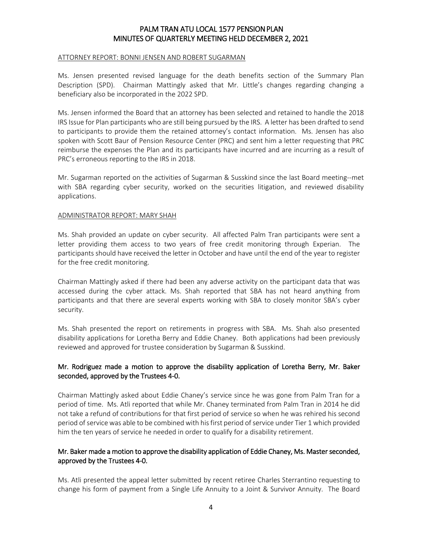#### ATTORNEY REPORT: BONNI JENSEN AND ROBERT SUGARMAN

Ms. Jensen presented revised language for the death benefits section of the Summary Plan Description (SPD). Chairman Mattingly asked that Mr. Little's changes regarding changing a beneficiary also be incorporated in the 2022 SPD.

Ms. Jensen informed the Board that an attorney has been selected and retained to handle the 2018 IRS Issue for Plan participants who are still being pursued by the IRS. A letter has been drafted to send to participants to provide them the retained attorney's contact information. Ms. Jensen has also spoken with Scott Baur of Pension Resource Center (PRC) and sent him a letter requesting that PRC reimburse the expenses the Plan and its participants have incurred and are incurring as a result of PRC's erroneous reporting to the IRS in 2018.

Mr. Sugarman reported on the activities of Sugarman & Susskind since the last Board meeting--met with SBA regarding cyber security, worked on the securities litigation, and reviewed disability applications.

#### ADMINISTRATOR REPORT: MARY SHAH

Ms. Shah provided an update on cyber security. All affected Palm Tran participants were sent a letter providing them access to two years of free credit monitoring through Experian. The participants should have received the letter in October and have until the end of the year to register for the free credit monitoring.

Chairman Mattingly asked if there had been any adverse activity on the participant data that was accessed during the cyber attack. Ms. Shah reported that SBA has not heard anything from participants and that there are several experts working with SBA to closely monitor SBA's cyber security.

Ms. Shah presented the report on retirements in progress with SBA. Ms. Shah also presented disability applications for Loretha Berry and Eddie Chaney. Both applications had been previously reviewed and approved for trustee consideration by Sugarman & Susskind.

## Mr. Rodriguez made a motion to approve the disability application of Loretha Berry, Mr. Baker seconded, approved by the Trustees 4-0.

Chairman Mattingly asked about Eddie Chaney's service since he was gone from Palm Tran for a period of time. Ms. Atli reported that while Mr. Chaney terminated from Palm Tran in 2014 he did not take a refund of contributions for that first period of service so when he was rehired his second period of service was able to be combined with his first period of service under Tier 1 which provided him the ten years of service he needed in order to qualify for a disability retirement.

## Mr. Baker made a motion to approve the disability application of Eddie Chaney, Ms. Master seconded, approved by the Trustees 4-0.

Ms. Atli presented the appeal letter submitted by recent retiree Charles Sterrantino requesting to change his form of payment from a Single Life Annuity to a Joint & Survivor Annuity. The Board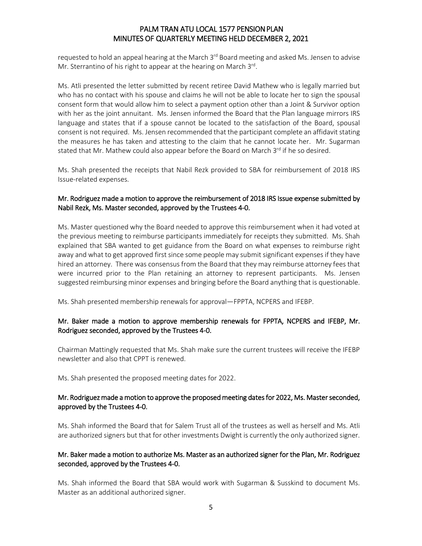requested to hold an appeal hearing at the March 3<sup>rd</sup> Board meeting and asked Ms. Jensen to advise Mr. Sterrantino of his right to appear at the hearing on March 3<sup>rd</sup>.

Ms. Atli presented the letter submitted by recent retiree David Mathew who is legally married but who has no contact with his spouse and claims he will not be able to locate her to sign the spousal consent form that would allow him to select a payment option other than a Joint & Survivor option with her as the joint annuitant. Ms. Jensen informed the Board that the Plan language mirrors IRS language and states that if a spouse cannot be located to the satisfaction of the Board, spousal consent is not required. Ms. Jensen recommended that the participant complete an affidavit stating the measures he has taken and attesting to the claim that he cannot locate her. Mr. Sugarman stated that Mr. Mathew could also appear before the Board on March 3rd if he so desired.

Ms. Shah presented the receipts that Nabil Rezk provided to SBA for reimbursement of 2018 IRS Issue-related expenses.

## Mr. Rodriguez made a motion to approve the reimbursement of 2018 IRS Issue expense submitted by Nabil Rezk, Ms. Master seconded, approved by the Trustees 4-0.

Ms. Master questioned why the Board needed to approve this reimbursement when it had voted at the previous meeting to reimburse participants immediately for receipts they submitted. Ms. Shah explained that SBA wanted to get guidance from the Board on what expenses to reimburse right away and what to get approved first since some people may submit significant expenses if they have hired an attorney. There was consensus from the Board that they may reimburse attorney fees that were incurred prior to the Plan retaining an attorney to represent participants. Ms. Jensen suggested reimbursing minor expenses and bringing before the Board anything that is questionable.

Ms. Shah presented membership renewals for approval—FPPTA, NCPERS and IFEBP.

## Mr. Baker made a motion to approve membership renewals for FPPTA, NCPERS and IFEBP, Mr. Rodriguez seconded, approved by the Trustees 4-0.

Chairman Mattingly requested that Ms. Shah make sure the current trustees will receive the IFEBP newsletter and also that CPPT is renewed.

Ms. Shah presented the proposed meeting dates for 2022.

## Mr. Rodriguez made a motion to approve the proposed meeting dates for 2022, Ms. Master seconded, approved by the Trustees 4-0.

Ms. Shah informed the Board that for Salem Trust all of the trustees as well as herself and Ms. Atli are authorized signers but that for other investments Dwight is currently the only authorized signer.

## Mr. Baker made a motion to authorize Ms. Master as an authorized signer for the Plan, Mr. Rodriguez seconded, approved by the Trustees 4-0.

Ms. Shah informed the Board that SBA would work with Sugarman & Susskind to document Ms. Master as an additional authorized signer.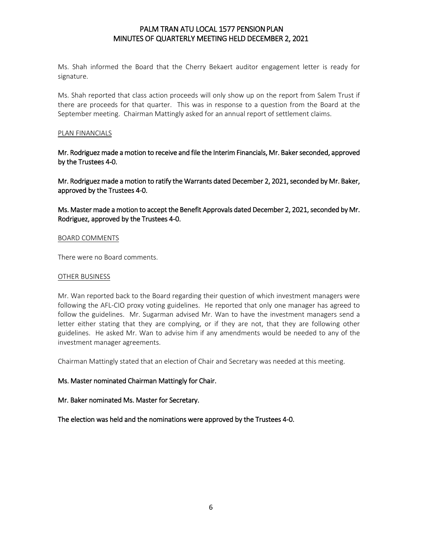Ms. Shah informed the Board that the Cherry Bekaert auditor engagement letter is ready for signature.

Ms. Shah reported that class action proceeds will only show up on the report from Salem Trust if there are proceeds for that quarter. This was in response to a question from the Board at the September meeting. Chairman Mattingly asked for an annual report of settlement claims.

### PLAN FINANCIALS

Mr. Rodriguez made a motion to receive and file the Interim Financials, Mr. Baker seconded, approved by the Trustees 4-0.

Mr. Rodriguez made a motion to ratify the Warrants dated December 2, 2021, seconded by Mr. Baker, approved by the Trustees 4-0.

Ms. Master made a motion to accept the Benefit Approvals dated December 2, 2021, seconded by Mr. Rodriguez, approved by the Trustees 4-0.

#### BOARD COMMENTS

There were no Board comments.

#### OTHER BUSINESS

Mr. Wan reported back to the Board regarding their question of which investment managers were following the AFL-CIO proxy voting guidelines. He reported that only one manager has agreed to follow the guidelines. Mr. Sugarman advised Mr. Wan to have the investment managers send a letter either stating that they are complying, or if they are not, that they are following other guidelines. He asked Mr. Wan to advise him if any amendments would be needed to any of the investment manager agreements.

Chairman Mattingly stated that an election of Chair and Secretary was needed at this meeting.

## Ms. Master nominated Chairman Mattingly for Chair.

## Mr. Baker nominated Ms. Master for Secretary.

The election was held and the nominations were approved by the Trustees 4-0.